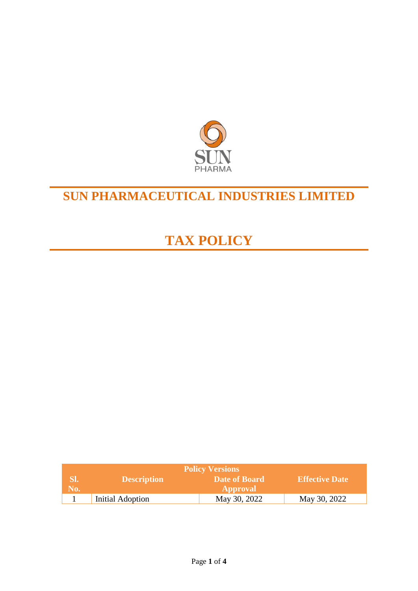

## **SUN PHARMACEUTICAL INDUSTRIES LIMITED**

# **TAX POLICY**

| <b>Policy Versions</b> |                    |                 |                       |  |
|------------------------|--------------------|-----------------|-----------------------|--|
| SI.                    | <b>Description</b> | Date of Board   | <b>Effective Date</b> |  |
| No.                    |                    | <b>Approval</b> |                       |  |
|                        | Initial Adoption   | May 30, 2022    | May 30, 2022          |  |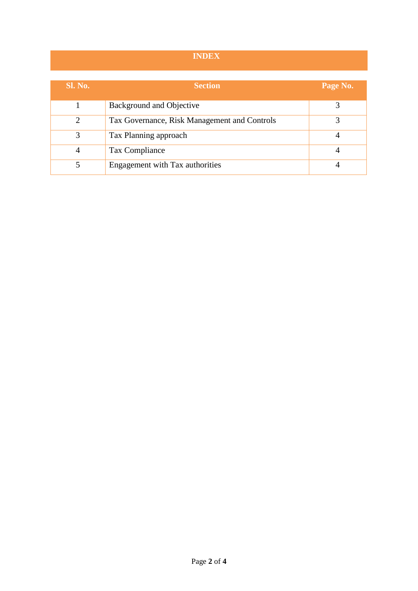### **INDEX**

| <b>Sl. No.</b> | <b>Section</b>                               | Page No. |
|----------------|----------------------------------------------|----------|
|                | Background and Objective                     |          |
| $\overline{2}$ | Tax Governance, Risk Management and Controls |          |
| 3              | Tax Planning approach                        |          |
| 4              | Tax Compliance                               |          |
| 5              | Engagement with Tax authorities              |          |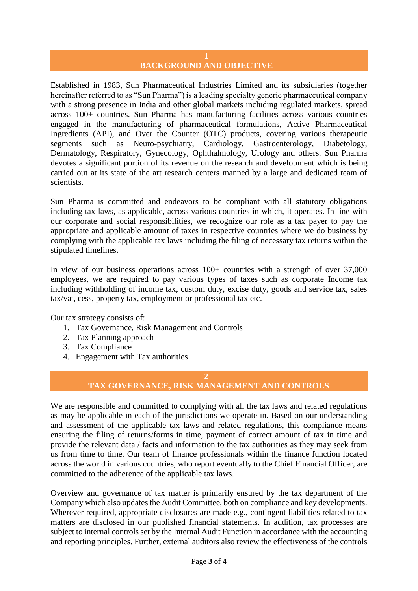## **BACKGROUND AND OBJECTIVE**

Established in 1983, Sun Pharmaceutical Industries Limited and its subsidiaries (together hereinafter referred to as "Sun Pharma") is a leading specialty generic pharmaceutical company with a strong presence in India and other global markets including regulated markets, spread across 100+ countries. Sun Pharma has manufacturing facilities across various countries engaged in the manufacturing of pharmaceutical formulations, Active Pharmaceutical Ingredients (API), and Over the Counter (OTC) products, covering various therapeutic segments such as Neuro-psychiatry, Cardiology, Gastroenterology, Diabetology, Dermatology, Respiratory, Gynecology, Ophthalmology, Urology and others. Sun Pharma devotes a significant portion of its revenue on the research and development which is being carried out at its state of the art research centers manned by a large and dedicated team of scientists.

Sun Pharma is committed and endeavors to be compliant with all statutory obligations including tax laws, as applicable, across various countries in which, it operates. In line with our corporate and social responsibilities, we recognize our role as a tax payer to pay the appropriate and applicable amount of taxes in respective countries where we do business by complying with the applicable tax laws including the filing of necessary tax returns within the stipulated timelines.

In view of our business operations across 100+ countries with a strength of over 37,000 employees, we are required to pay various types of taxes such as corporate Income tax including withholding of income tax, custom duty, excise duty, goods and service tax, sales tax/vat, cess, property tax, employment or professional tax etc.

Our tax strategy consists of:

- 1. Tax Governance, Risk Management and Controls
- 2. Tax Planning approach
- 3. Tax Compliance
- 4. Engagement with Tax authorities

#### **2 TAX GOVERNANCE, RISK MANAGEMENT AND CONTROLS**

We are responsible and committed to complying with all the tax laws and related regulations as may be applicable in each of the jurisdictions we operate in. Based on our understanding and assessment of the applicable tax laws and related regulations, this compliance means ensuring the filing of returns/forms in time, payment of correct amount of tax in time and provide the relevant data / facts and information to the tax authorities as they may seek from us from time to time. Our team of finance professionals within the finance function located across the world in various countries, who report eventually to the Chief Financial Officer, are committed to the adherence of the applicable tax laws.

Overview and governance of tax matter is primarily ensured by the tax department of the Company which also updates the Audit Committee, both on compliance and key developments. Wherever required, appropriate disclosures are made e.g., contingent liabilities related to tax matters are disclosed in our published financial statements. In addition, tax processes are subject to internal controls set by the Internal Audit Function in accordance with the accounting and reporting principles. Further, external auditors also review the effectiveness of the controls